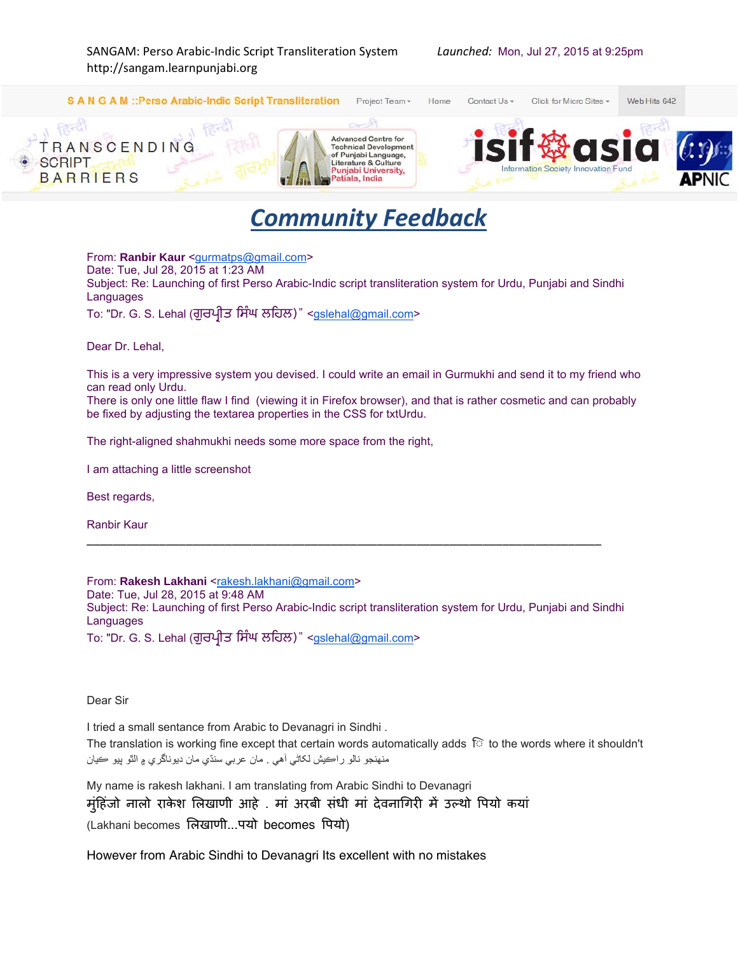

## *Community Feedback*

From: **Ranbir Kaur** <gurmatps@gmail.com> Date: Tue, Jul 28, 2015 at 1:23 AM Subject: Re: Launching of first Perso Arabic-Indic script transliteration system for Urdu, Punjabi and Sindhi Languages

To: "Dr. G. S. Lehal (ਗੁਰਪ੍ਰੀਤ ਿਸੰਘ ਲਿਹਲ)" <gslehal@gmail.com>

Dear Dr. Lehal,

This is a very impressive system you devised. I could write an email in Gurmukhi and send it to my friend who can read only Urdu.

There is only one little flaw I find (viewing it in Firefox browser), and that is rather cosmetic and can probably be fixed by adjusting the textarea properties in the CSS for txtUrdu.

The right-aligned shahmukhi needs some more space from the right,

I am attaching a little screenshot

Best regards,

Ranbir Kaur

From: Rakesh Lakhani <rakesh.lakhani@gmail.com> Date: Tue, Jul 28, 2015 at 9:48 AM Subject: Re: Launching of first Perso Arabic-Indic script transliteration system for Urdu, Punjabi and Sindhi **Languages** To: "Dr. G. S. Lehal (ਗੁਰਪ੍ਰੀਤ ਿਸੰਘ ਲਿਹਲ)" <gslehal@gmail.com>

\_\_\_\_\_\_\_\_\_\_\_\_\_\_\_\_\_\_\_\_\_\_\_\_\_\_\_\_\_\_\_\_\_\_\_\_\_\_\_\_\_\_\_\_\_\_\_\_\_\_\_\_\_\_\_\_\_\_\_\_\_\_\_\_\_\_\_\_\_\_\_\_\_\_\_\_\_\_

Dear Sir

I tried a small sentance from Arabic to Devanagri in Sindhi .

The translation is working fine except that certain words automatically adds to the words where it shouldn't منھنجو نالو راڪيش لکاٹي آھي . مان عربي سنڌي مان ديوناگري ۾ الٿو پيو ڪيان

My name is rakesh lakhani. I am translating from Arabic Sindhi to Devanagri मंहिंजो नालो राकेश लिखाणी आहे . मां अरबी संधी मां देवनागिरी में उल्थो पियो कयां (Lakhani becomes िलखाणी...पयो becomes िपयो)

However from Arabic Sindhi to Devanagri Its excellent with no mistakes